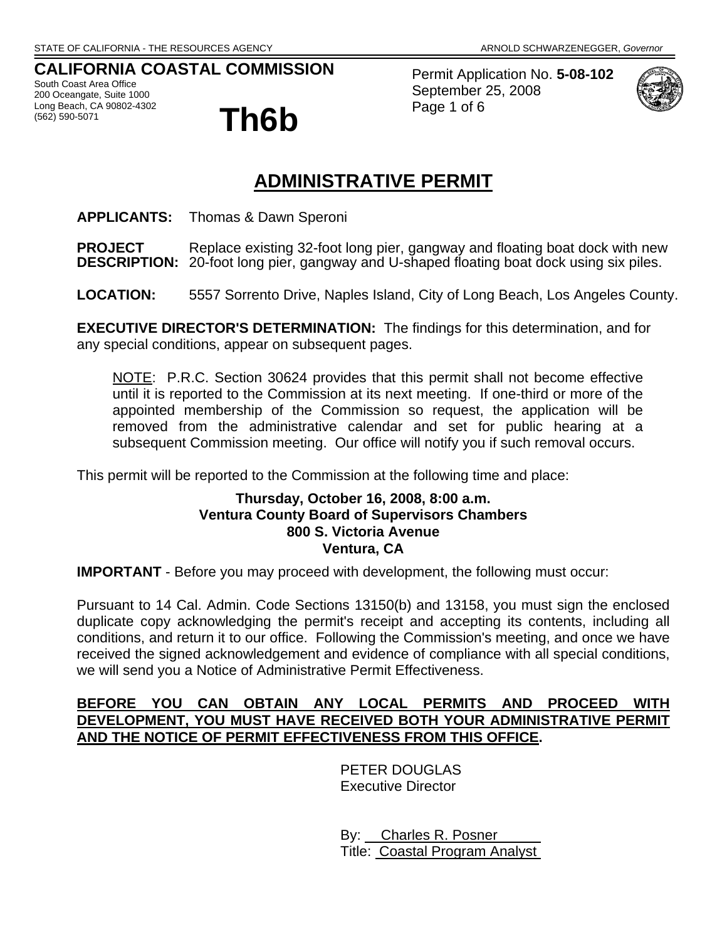# **CALIFORNIA COASTAL COMMISSION**

South Coast Area Office 200 Oceangate, Suite 1000 Long Beach, CA 90802-4302<br>(562) 590-5071



Permit Application No. **5-08-102** September 25, 2008 Page 1 of 6



# **ADMINISTRATIVE PERMIT**

**APPLICANTS:** Thomas & Dawn Speroni

**PROJECT** Replace existing 32-foot long pier, gangway and floating boat dock with new<br>**DESCRIPTION:** 20-foot long pier, gangway and U-shaped floating boat dock using six piles. 20-foot long pier, gangway and U-shaped floating boat dock using six piles.

**LOCATION:** 5557 Sorrento Drive, Naples Island, City of Long Beach, Los Angeles County.

**EXECUTIVE DIRECTOR'S DETERMINATION:** The findings for this determination, and for any special conditions, appear on subsequent pages.

NOTE: P.R.C. Section 30624 provides that this permit shall not become effective until it is reported to the Commission at its next meeting. If one-third or more of the appointed membership of the Commission so request, the application will be removed from the administrative calendar and set for public hearing at a subsequent Commission meeting. Our office will notify you if such removal occurs.

This permit will be reported to the Commission at the following time and place:

# **Thursday, October 16, 2008, 8:00 a.m. Ventura County Board of Supervisors Chambers 800 S. Victoria Avenue Ventura, CA**

**IMPORTANT** - Before you may proceed with development, the following must occur:

Pursuant to 14 Cal. Admin. Code Sections 13150(b) and 13158, you must sign the enclosed duplicate copy acknowledging the permit's receipt and accepting its contents, including all conditions, and return it to our office. Following the Commission's meeting, and once we have received the signed acknowledgement and evidence of compliance with all special conditions, we will send you a Notice of Administrative Permit Effectiveness.

# **BEFORE YOU CAN OBTAIN ANY LOCAL PERMITS AND PROCEED WITH DEVELOPMENT, YOU MUST HAVE RECEIVED BOTH YOUR ADMINISTRATIVE PERMIT AND THE NOTICE OF PERMIT EFFECTIVENESS FROM THIS OFFICE.**

 PETER DOUGLAS Executive Director

 By: Charles R. Posner Title: Coastal Program Analyst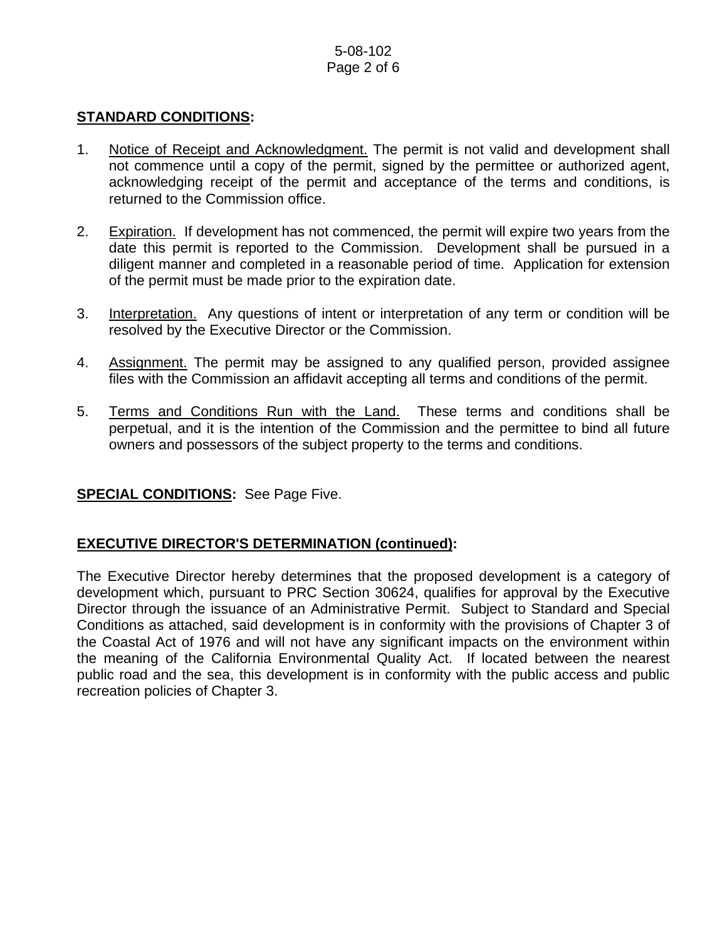# 5-08-102 Page 2 of 6

## **STANDARD CONDITIONS:**

- 1. Notice of Receipt and Acknowledgment. The permit is not valid and development shall not commence until a copy of the permit, signed by the permittee or authorized agent, acknowledging receipt of the permit and acceptance of the terms and conditions, is returned to the Commission office.
- 2. Expiration. If development has not commenced, the permit will expire two years from the date this permit is reported to the Commission. Development shall be pursued in a diligent manner and completed in a reasonable period of time. Application for extension of the permit must be made prior to the expiration date.
- 3. Interpretation. Any questions of intent or interpretation of any term or condition will be resolved by the Executive Director or the Commission.
- 4. Assignment. The permit may be assigned to any qualified person, provided assignee files with the Commission an affidavit accepting all terms and conditions of the permit.
- 5. Terms and Conditions Run with the Land. These terms and conditions shall be perpetual, and it is the intention of the Commission and the permittee to bind all future owners and possessors of the subject property to the terms and conditions.

## **SPECIAL CONDITIONS:** See Page Five.

## **EXECUTIVE DIRECTOR'S DETERMINATION (continued):**

The Executive Director hereby determines that the proposed development is a category of development which, pursuant to PRC Section 30624, qualifies for approval by the Executive Director through the issuance of an Administrative Permit. Subject to Standard and Special Conditions as attached, said development is in conformity with the provisions of Chapter 3 of the Coastal Act of 1976 and will not have any significant impacts on the environment within the meaning of the California Environmental Quality Act. If located between the nearest public road and the sea, this development is in conformity with the public access and public recreation policies of Chapter 3.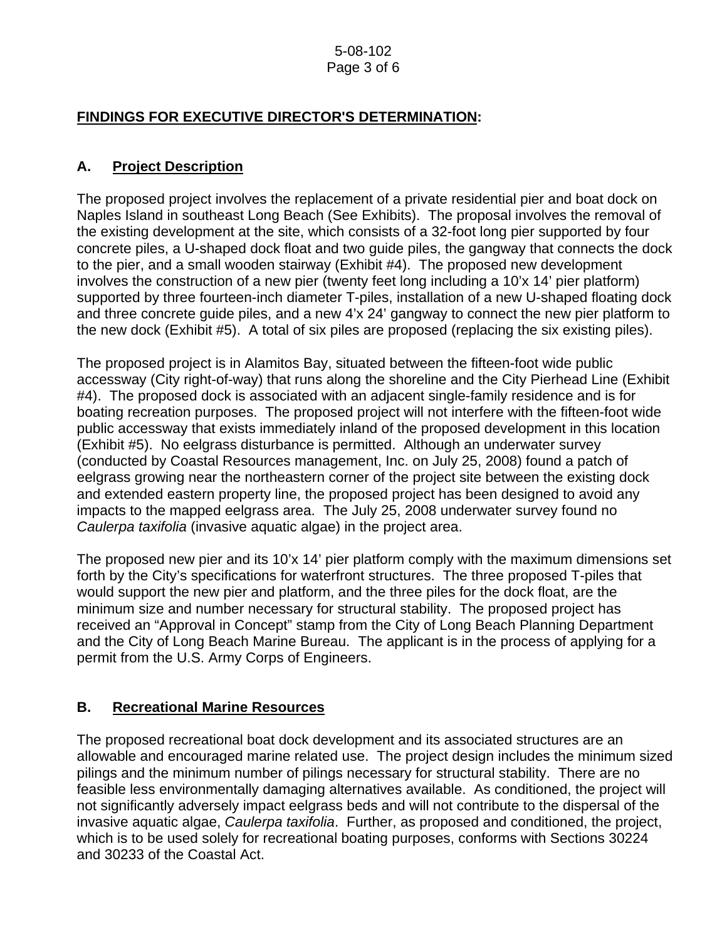#### 5-08-102 Page 3 of 6

# **FINDINGS FOR EXECUTIVE DIRECTOR'S DETERMINATION:**

# **A. Project Description**

The proposed project involves the replacement of a private residential pier and boat dock on Naples Island in southeast Long Beach (See Exhibits). The proposal involves the removal of the existing development at the site, which consists of a 32-foot long pier supported by four concrete piles, a U-shaped dock float and two guide piles, the gangway that connects the dock to the pier, and a small wooden stairway (Exhibit #4). The proposed new development involves the construction of a new pier (twenty feet long including a 10'x 14' pier platform) supported by three fourteen-inch diameter T-piles, installation of a new U-shaped floating dock and three concrete guide piles, and a new 4'x 24' gangway to connect the new pier platform to the new dock (Exhibit #5). A total of six piles are proposed (replacing the six existing piles).

The proposed project is in Alamitos Bay, situated between the fifteen-foot wide public accessway (City right-of-way) that runs along the shoreline and the City Pierhead Line (Exhibit #4). The proposed dock is associated with an adjacent single-family residence and is for boating recreation purposes. The proposed project will not interfere with the fifteen-foot wide public accessway that exists immediately inland of the proposed development in this location (Exhibit #5). No eelgrass disturbance is permitted. Although an underwater survey (conducted by Coastal Resources management, Inc. on July 25, 2008) found a patch of eelgrass growing near the northeastern corner of the project site between the existing dock and extended eastern property line, the proposed project has been designed to avoid any impacts to the mapped eelgrass area. The July 25, 2008 underwater survey found no *Caulerpa taxifolia* (invasive aquatic algae) in the project area.

The proposed new pier and its 10'x 14' pier platform comply with the maximum dimensions set forth by the City's specifications for waterfront structures. The three proposed T-piles that would support the new pier and platform, and the three piles for the dock float, are the minimum size and number necessary for structural stability. The proposed project has received an "Approval in Concept" stamp from the City of Long Beach Planning Department and the City of Long Beach Marine Bureau. The applicant is in the process of applying for a permit from the U.S. Army Corps of Engineers.

# **B. Recreational Marine Resources**

The proposed recreational boat dock development and its associated structures are an allowable and encouraged marine related use. The project design includes the minimum sized pilings and the minimum number of pilings necessary for structural stability. There are no feasible less environmentally damaging alternatives available. As conditioned, the project will not significantly adversely impact eelgrass beds and will not contribute to the dispersal of the invasive aquatic algae, *Caulerpa taxifolia*. Further, as proposed and conditioned, the project, which is to be used solely for recreational boating purposes, conforms with Sections 30224 and 30233 of the Coastal Act.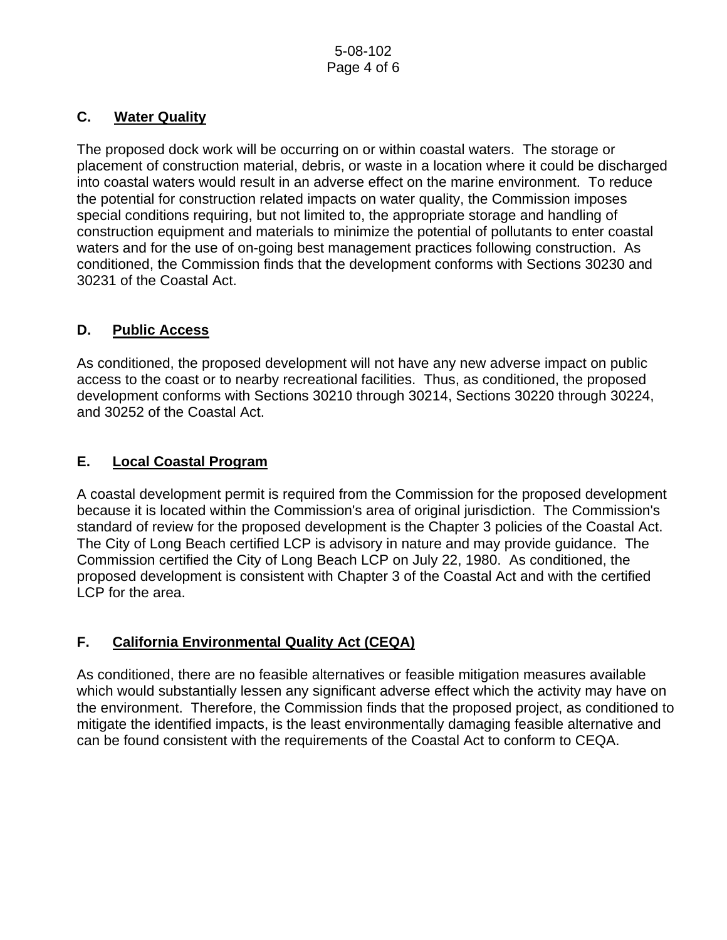# **C. Water Quality**

The proposed dock work will be occurring on or within coastal waters. The storage or placement of construction material, debris, or waste in a location where it could be discharged into coastal waters would result in an adverse effect on the marine environment. To reduce the potential for construction related impacts on water quality, the Commission imposes special conditions requiring, but not limited to, the appropriate storage and handling of construction equipment and materials to minimize the potential of pollutants to enter coastal waters and for the use of on-going best management practices following construction. As conditioned, the Commission finds that the development conforms with Sections 30230 and 30231 of the Coastal Act.

# **D. Public Access**

As conditioned, the proposed development will not have any new adverse impact on public access to the coast or to nearby recreational facilities. Thus, as conditioned, the proposed development conforms with Sections 30210 through 30214, Sections 30220 through 30224, and 30252 of the Coastal Act.

# **E. Local Coastal Program**

A coastal development permit is required from the Commission for the proposed development because it is located within the Commission's area of original jurisdiction. The Commission's standard of review for the proposed development is the Chapter 3 policies of the Coastal Act. The City of Long Beach certified LCP is advisory in nature and may provide guidance. The Commission certified the City of Long Beach LCP on July 22, 1980. As conditioned, the proposed development is consistent with Chapter 3 of the Coastal Act and with the certified LCP for the area.

# **F. California Environmental Quality Act (CEQA)**

As conditioned, there are no feasible alternatives or feasible mitigation measures available which would substantially lessen any significant adverse effect which the activity may have on the environment. Therefore, the Commission finds that the proposed project, as conditioned to mitigate the identified impacts, is the least environmentally damaging feasible alternative and can be found consistent with the requirements of the Coastal Act to conform to CEQA.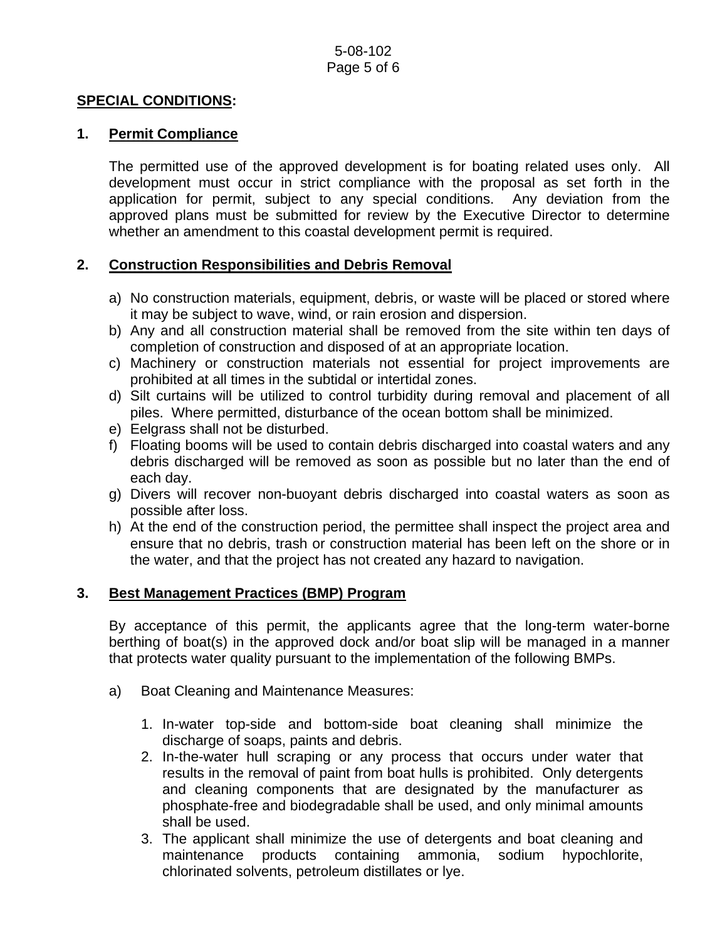#### **SPECIAL CONDITIONS:**

#### **1. Permit Compliance**

 The permitted use of the approved development is for boating related uses only. All development must occur in strict compliance with the proposal as set forth in the application for permit, subject to any special conditions. Any deviation from the approved plans must be submitted for review by the Executive Director to determine whether an amendment to this coastal development permit is required.

## **2. Construction Responsibilities and Debris Removal**

- a) No construction materials, equipment, debris, or waste will be placed or stored where it may be subject to wave, wind, or rain erosion and dispersion.
- b) Any and all construction material shall be removed from the site within ten days of completion of construction and disposed of at an appropriate location.
- c) Machinery or construction materials not essential for project improvements are prohibited at all times in the subtidal or intertidal zones.
- d) Silt curtains will be utilized to control turbidity during removal and placement of all piles. Where permitted, disturbance of the ocean bottom shall be minimized.
- e) Eelgrass shall not be disturbed.
- f) Floating booms will be used to contain debris discharged into coastal waters and any debris discharged will be removed as soon as possible but no later than the end of each day.
- g) Divers will recover non-buoyant debris discharged into coastal waters as soon as possible after loss.
- h) At the end of the construction period, the permittee shall inspect the project area and ensure that no debris, trash or construction material has been left on the shore or in the water, and that the project has not created any hazard to navigation.

#### **3. Best Management Practices (BMP) Program**

By acceptance of this permit, the applicants agree that the long-term water-borne berthing of boat(s) in the approved dock and/or boat slip will be managed in a manner that protects water quality pursuant to the implementation of the following BMPs.

- a) Boat Cleaning and Maintenance Measures:
	- 1. In-water top-side and bottom-side boat cleaning shall minimize the discharge of soaps, paints and debris.
	- 2. In-the-water hull scraping or any process that occurs under water that results in the removal of paint from boat hulls is prohibited. Only detergents and cleaning components that are designated by the manufacturer as phosphate-free and biodegradable shall be used, and only minimal amounts shall be used.
	- 3. The applicant shall minimize the use of detergents and boat cleaning and maintenance products containing ammonia, sodium hypochlorite, chlorinated solvents, petroleum distillates or lye.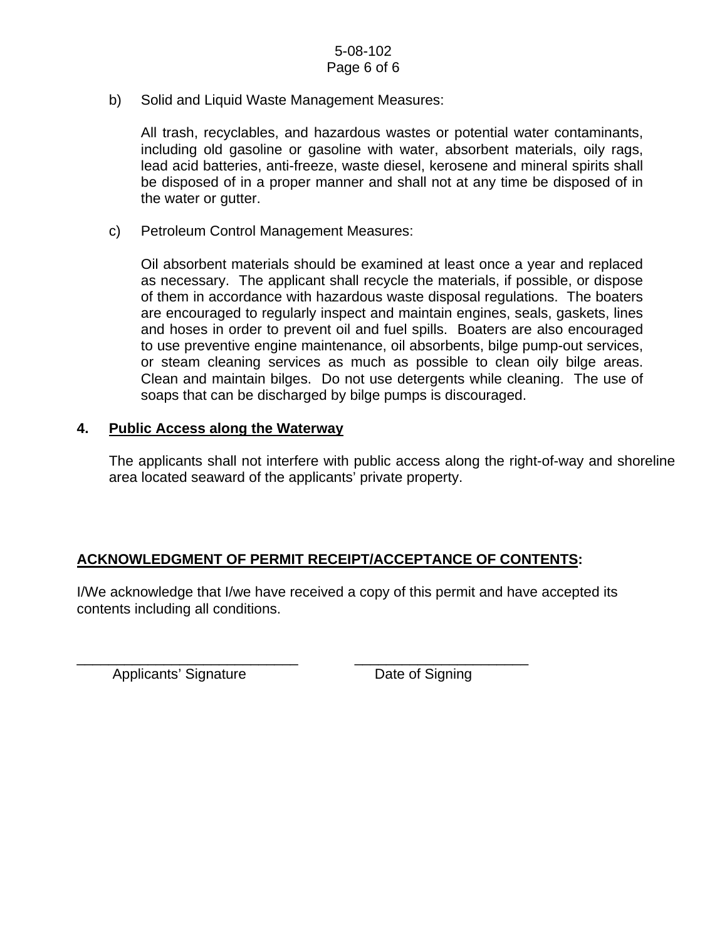b) Solid and Liquid Waste Management Measures:

All trash, recyclables, and hazardous wastes or potential water contaminants, including old gasoline or gasoline with water, absorbent materials, oily rags, lead acid batteries, anti-freeze, waste diesel, kerosene and mineral spirits shall be disposed of in a proper manner and shall not at any time be disposed of in the water or gutter.

c) Petroleum Control Management Measures:

Oil absorbent materials should be examined at least once a year and replaced as necessary. The applicant shall recycle the materials, if possible, or dispose of them in accordance with hazardous waste disposal regulations. The boaters are encouraged to regularly inspect and maintain engines, seals, gaskets, lines and hoses in order to prevent oil and fuel spills. Boaters are also encouraged to use preventive engine maintenance, oil absorbents, bilge pump-out services, or steam cleaning services as much as possible to clean oily bilge areas. Clean and maintain bilges. Do not use detergents while cleaning. The use of soaps that can be discharged by bilge pumps is discouraged.

#### **4. Public Access along the Waterway**

The applicants shall not interfere with public access along the right-of-way and shoreline area located seaward of the applicants' private property.

## **ACKNOWLEDGMENT OF PERMIT RECEIPT/ACCEPTANCE OF CONTENTS:**

\_\_\_\_\_\_\_\_\_\_\_\_\_\_\_\_\_\_\_\_\_\_\_\_\_\_\_\_ \_\_\_\_\_\_\_\_\_\_\_\_\_\_\_\_\_\_\_\_\_\_

I/We acknowledge that I/we have received a copy of this permit and have accepted its contents including all conditions.

Applicants' Signature Date of Signing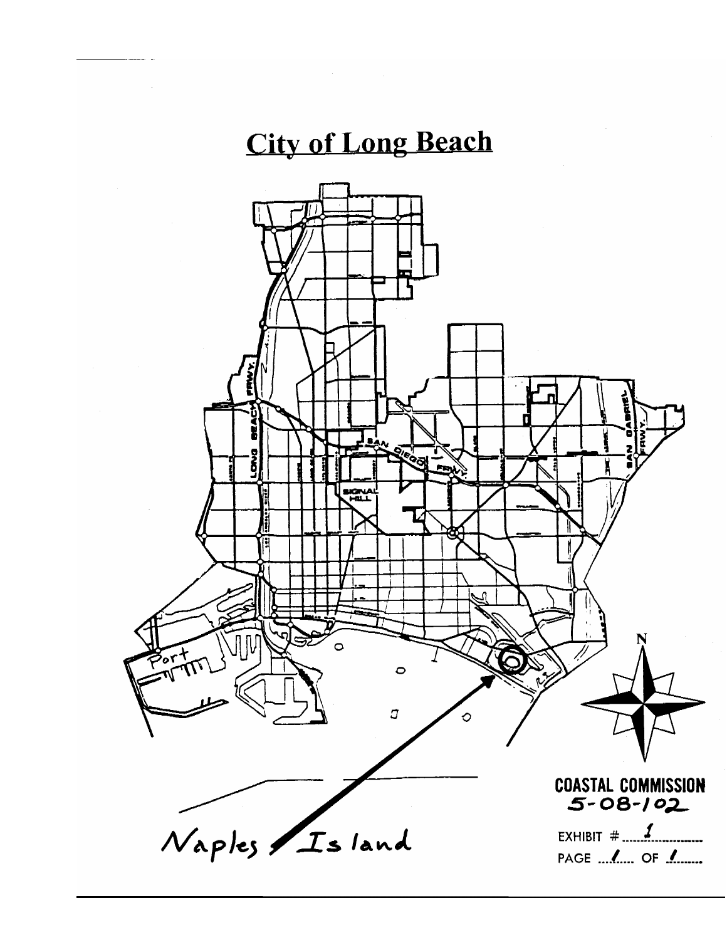# **City of Long Beach**

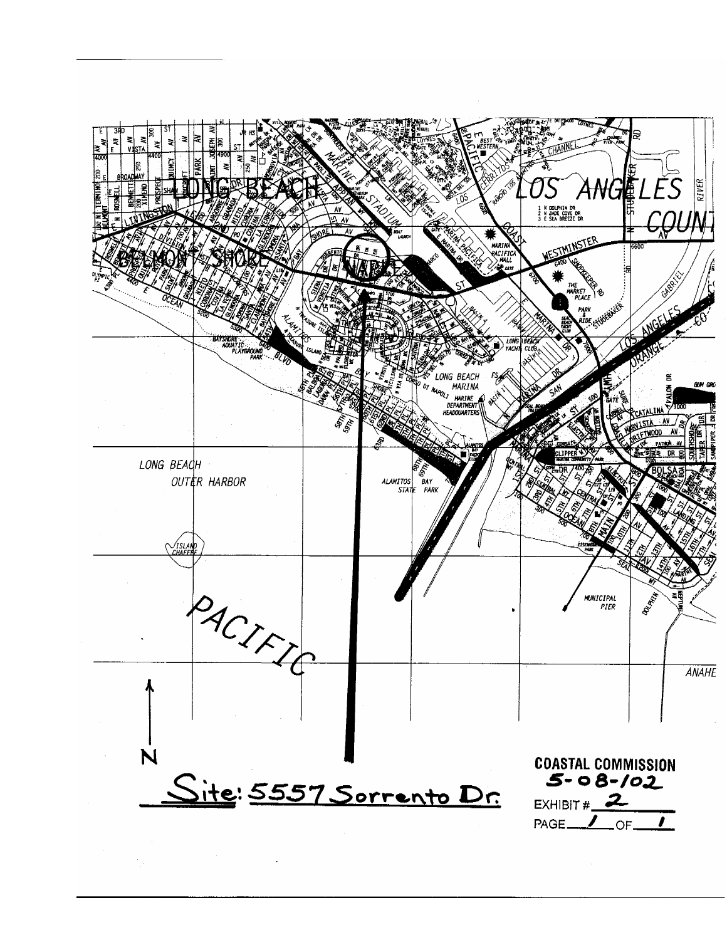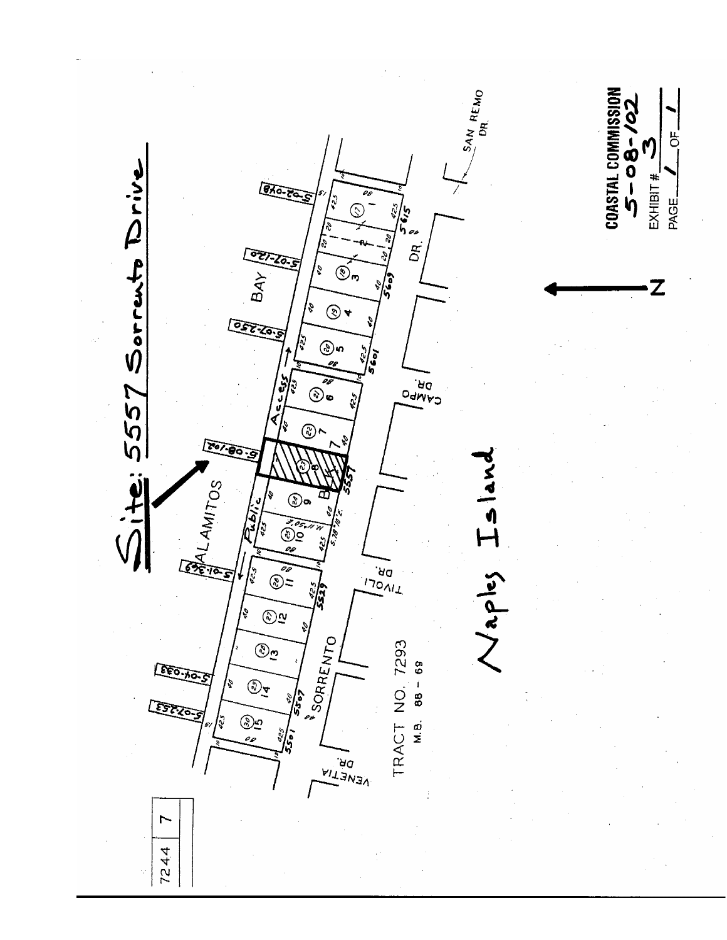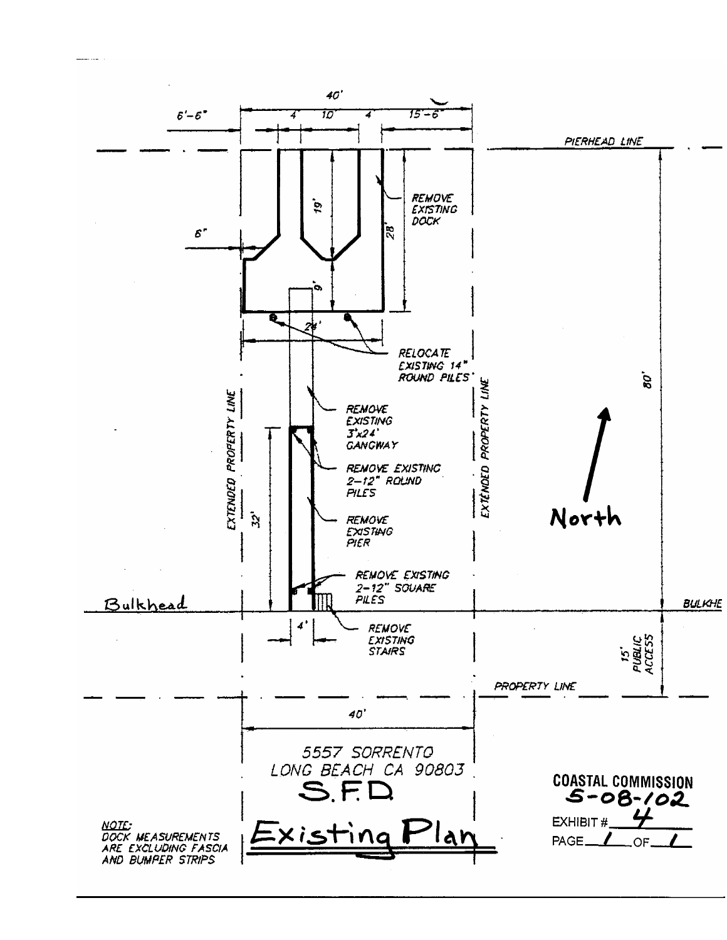